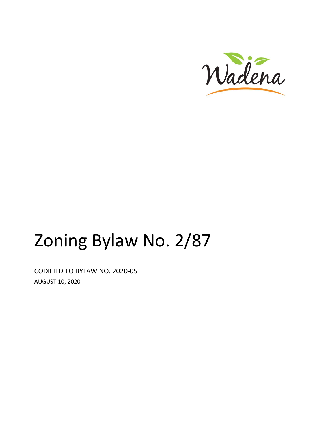

# Zoning Bylaw No. 2/87

CODIFIED TO BYLAW NO. 2020-05 AUGUST 10, 2020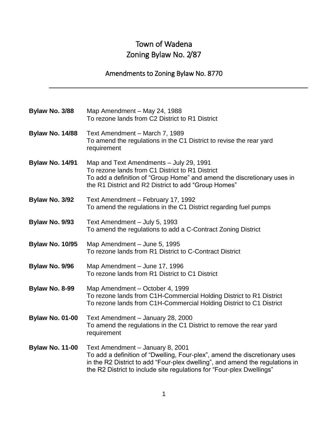# Town of Wadena Zoning Bylaw No. 2/87

### Amendments to Zoning Bylaw No. 8770

| Bylaw No. 3/88         | Map Amendment - May 24, 1988<br>To rezone lands from C2 District to R1 District                                                                                                                                                                                         |
|------------------------|-------------------------------------------------------------------------------------------------------------------------------------------------------------------------------------------------------------------------------------------------------------------------|
| <b>Bylaw No. 14/88</b> | Text Amendment - March 7, 1989<br>To amend the regulations in the C1 District to revise the rear yard<br>requirement                                                                                                                                                    |
| <b>Bylaw No. 14/91</b> | Map and Text Amendments - July 29, 1991<br>To rezone lands from C1 District to R1 District<br>To add a definition of "Group Home" and amend the discretionary uses in<br>the R1 District and R2 District to add "Group Homes"                                           |
| Bylaw No. 3/92         | Text Amendment - February 17, 1992<br>To amend the regulations in the C1 District regarding fuel pumps                                                                                                                                                                  |
| Bylaw No. 9/93         | Text Amendment - July 5, 1993<br>To amend the regulations to add a C-Contract Zoning District                                                                                                                                                                           |
| <b>Bylaw No. 10/95</b> | Map Amendment - June 5, 1995<br>To rezone lands from R1 District to C-Contract District                                                                                                                                                                                 |
| Bylaw No. 9/96         | Map Amendment - June 17, 1996<br>To rezone lands from R1 District to C1 District                                                                                                                                                                                        |
| Bylaw No. 8-99         | Map Amendment - October 4, 1999<br>To rezone lands from C1H-Commercial Holding District to R1 District<br>To rezone lands from C1H-Commercial Holding District to C1 District                                                                                           |
| <b>Bylaw No. 01-00</b> | Text Amendment - January 28, 2000<br>To amend the regulations in the C1 District to remove the rear yard<br>requirement                                                                                                                                                 |
| <b>Bylaw No. 11-00</b> | Text Amendment - January 8, 2001<br>To add a definition of "Dwelling, Four-plex", amend the discretionary uses<br>in the R2 District to add "Four-plex dwelling", and amend the regulations in<br>the R2 District to include site regulations for "Four-plex Dwellings" |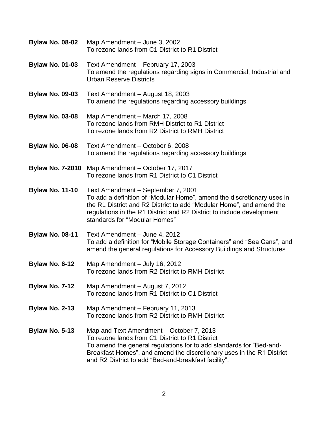| <b>Bylaw No. 08-02</b> | Map Amendment - June 3, 2002<br>To rezone lands from C1 District to R1 District                                                                                                                                                                                                                     |
|------------------------|-----------------------------------------------------------------------------------------------------------------------------------------------------------------------------------------------------------------------------------------------------------------------------------------------------|
| <b>Bylaw No. 01-03</b> | Text Amendment - February 17, 2003<br>To amend the regulations regarding signs in Commercial, Industrial and<br><b>Urban Reserve Districts</b>                                                                                                                                                      |
| <b>Bylaw No. 09-03</b> | Text Amendment - August 18, 2003<br>To amend the regulations regarding accessory buildings                                                                                                                                                                                                          |
| <b>Bylaw No. 03-08</b> | Map Amendment - March 17, 2008<br>To rezone lands from RMH District to R1 District<br>To rezone lands from R2 District to RMH District                                                                                                                                                              |
| <b>Bylaw No. 06-08</b> | Text Amendment - October 6, 2008<br>To amend the regulations regarding accessory buildings                                                                                                                                                                                                          |
|                        | Bylaw No. 7-2010 Map Amendment - October 17, 2017<br>To rezone lands from R1 District to C1 District                                                                                                                                                                                                |
| <b>Bylaw No. 11-10</b> | Text Amendment - September 7, 2001<br>To add a definition of "Modular Home", amend the discretionary uses in<br>the R1 District and R2 District to add "Modular Home", and amend the<br>regulations in the R1 District and R2 District to include development<br>standards for "Modular Homes"      |
| <b>Bylaw No. 08-11</b> | Text Amendment - June 4, 2012<br>To add a definition for "Mobile Storage Containers" and "Sea Cans", and<br>amend the general regulations for Accessory Buildings and Structures                                                                                                                    |
| Bylaw No. 6-12         | Map Amendment - July 16, 2012<br>To rezone lands from R2 District to RMH District                                                                                                                                                                                                                   |
| <b>Bylaw No. 7-12</b>  | Map Amendment - August 7, 2012<br>To rezone lands from R1 District to C1 District                                                                                                                                                                                                                   |
| Bylaw No. 2-13         | Map Amendment - February 11, 2013<br>To rezone lands from R2 District to RMH District                                                                                                                                                                                                               |
| Bylaw No. 5-13         | Map and Text Amendment – October 7, 2013<br>To rezone lands from C1 District to R1 District<br>To amend the general regulations for to add standards for "Bed-and-<br>Breakfast Homes", and amend the discretionary uses in the R1 District<br>and R2 District to add "Bed-and-breakfast facility". |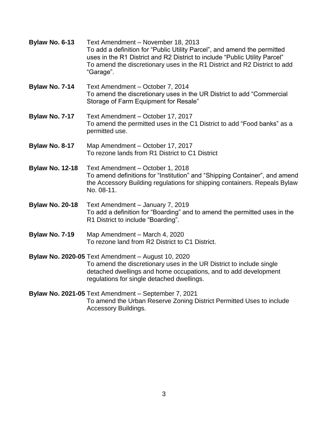| Bylaw No. 6-13         | Text Amendment - November 18, 2013<br>To add a definition for "Public Utility Parcel", and amend the permitted<br>uses in the R1 District and R2 District to include "Public Utility Parcel"<br>To amend the discretionary uses in the R1 District and R2 District to add<br>"Garage". |
|------------------------|----------------------------------------------------------------------------------------------------------------------------------------------------------------------------------------------------------------------------------------------------------------------------------------|
| Bylaw No. 7-14         | Text Amendment - October 7, 2014<br>To amend the discretionary uses in the UR District to add "Commercial<br>Storage of Farm Equipment for Resale"                                                                                                                                     |
| Bylaw No. 7-17         | Text Amendment - October 17, 2017<br>To amend the permitted uses in the C1 District to add "Food banks" as a<br>permitted use.                                                                                                                                                         |
| Bylaw No. 8-17         | Map Amendment - October 17, 2017<br>To rezone lands from R1 District to C1 District                                                                                                                                                                                                    |
| <b>Bylaw No. 12-18</b> | Text Amendment - October 1, 2018<br>To amend definitions for "Institution" and "Shipping Container", and amend<br>the Accessory Building regulations for shipping containers. Repeals Bylaw<br>No. 08-11.                                                                              |
| <b>Bylaw No. 20-18</b> | Text Amendment - January 7, 2019<br>To add a definition for "Boarding" and to amend the permitted uses in the<br>R1 District to include "Boarding".                                                                                                                                    |
| Bylaw No. 7-19         | Map Amendment - March 4, 2020<br>To rezone land from R2 District to C1 District.                                                                                                                                                                                                       |
|                        | <b>Bylaw No. 2020-05 Text Amendment - August 10, 2020</b><br>To amend the discretionary uses in the UR District to include single<br>detached dwellings and home occupations, and to add development<br>regulations for single detached dwellings.                                     |
|                        | Bylaw No. 2021-05 Text Amendment - September 7, 2021<br>To amend the Urban Reserve Zoning District Permitted Uses to include                                                                                                                                                           |

Accessory Buildings.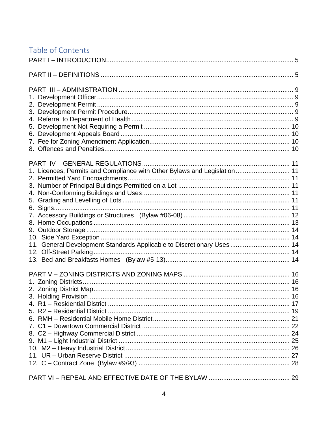# Table of Contents

| 1. Licences, Permits and Compliance with Other Bylaws and Legislation 11 |  |
|--------------------------------------------------------------------------|--|
|                                                                          |  |
|                                                                          |  |
|                                                                          |  |
|                                                                          |  |
|                                                                          |  |
|                                                                          |  |
|                                                                          |  |
|                                                                          |  |
|                                                                          |  |
| 11. General Development Standards Applicable to Discretionary Uses  14   |  |
|                                                                          |  |
|                                                                          |  |
|                                                                          |  |
|                                                                          |  |
|                                                                          |  |
|                                                                          |  |
|                                                                          |  |
|                                                                          |  |
|                                                                          |  |
|                                                                          |  |
|                                                                          |  |
|                                                                          |  |
|                                                                          |  |
|                                                                          |  |
|                                                                          |  |
|                                                                          |  |
|                                                                          |  |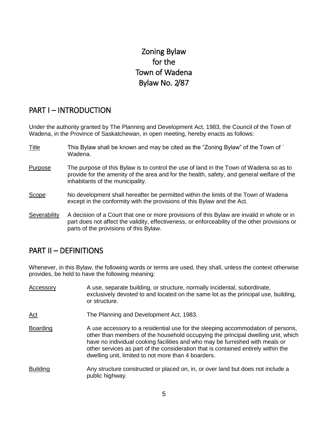# Zoning Bylaw for the Town of Wadena Bylaw No. 2/87

### <span id="page-5-0"></span>PART I – INTRODUCTION

Under the authority granted by The Planning and Development Act, 1983, the Council of the Town of Wadena, in the Province of Saskatchewan, in open meeting, hereby enacts as follows:

- Title This Bylaw shall be known and may be cited as the "Zoning Bylaw" of the Town of ` Wadena.
- Purpose The purpose of this Bylaw is to control the use of land in the Town of Wadena so as to provide for the amenity of the area and for the health, safety, and general welfare of the inhabitants of the municipality.
- Scope No development shall hereafter be permitted within the limits of the Town of Wadena except in the conformity with the provisions of this Bylaw and the Act.
- Severability A decision of a Court that one or more provisions of this Bylaw are invalid in whole or in part does not affect the validity, effectiveness, or enforceability of the other provisions or parts of the provisions of this Bylaw.

### <span id="page-5-1"></span>PART II – DEFINITIONS

Whenever, in this Bylaw, the following words or terms are used, they shall, unless the context otherwise provides, be held to have the following meaning:

| Accessory       | A use, separate building, or structure, normally incidental, subordinate,<br>exclusively devoted to and located on the same lot as the principal use, building,<br>or structure.                                                                                                                                                                                                                |
|-----------------|-------------------------------------------------------------------------------------------------------------------------------------------------------------------------------------------------------------------------------------------------------------------------------------------------------------------------------------------------------------------------------------------------|
| $Act$           | The Planning and Development Act, 1983.                                                                                                                                                                                                                                                                                                                                                         |
| <b>Boarding</b> | A use accessory to a residential use for the sleeping accommodation of persons,<br>other than members of the household occupying the principal dwelling unit, which<br>have no individual cooking facilities and who may be furnished with meals or<br>other services as part of the consideration that is contained entirely within the<br>dwelling unit, limited to not more than 4 boarders. |
| <b>Building</b> | Any structure constructed or placed on, in, or over land but does not include a<br>public highway.                                                                                                                                                                                                                                                                                              |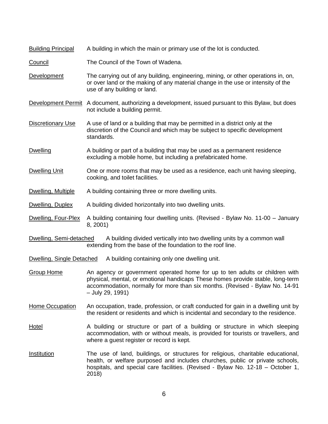| <b>Building Principal</b> | A building in which the main or primary use of the lot is conducted.                                                                                                                                                                                              |  |  |
|---------------------------|-------------------------------------------------------------------------------------------------------------------------------------------------------------------------------------------------------------------------------------------------------------------|--|--|
| Council                   | The Council of the Town of Wadena.                                                                                                                                                                                                                                |  |  |
| <b>Development</b>        | The carrying out of any building, engineering, mining, or other operations in, on,<br>or over land or the making of any material change in the use or intensity of the<br>use of any building or land.                                                            |  |  |
| Development Permit        | A document, authorizing a development, issued pursuant to this Bylaw, but does<br>not include a building permit.                                                                                                                                                  |  |  |
| <b>Discretionary Use</b>  | A use of land or a building that may be permitted in a district only at the<br>discretion of the Council and which may be subject to specific development<br>standards.                                                                                           |  |  |
| <b>Dwelling</b>           | A building or part of a building that may be used as a permanent residence<br>excluding a mobile home, but including a prefabricated home.                                                                                                                        |  |  |
| <b>Dwelling Unit</b>      | One or more rooms that may be used as a residence, each unit having sleeping,<br>cooking, and toilet facilities.                                                                                                                                                  |  |  |
| Dwelling, Multiple        | A building containing three or more dwelling units.                                                                                                                                                                                                               |  |  |
| Dwelling, Duplex          | A building divided horizontally into two dwelling units.                                                                                                                                                                                                          |  |  |
| Dwelling, Four-Plex       | A building containing four dwelling units. (Revised - Bylaw No. 11-00 - January<br>8, 2001)                                                                                                                                                                       |  |  |
| Dwelling, Semi-detached   | A building divided vertically into two dwelling units by a common wall<br>extending from the base of the foundation to the roof line.                                                                                                                             |  |  |
| Dwelling, Single Detached | A building containing only one dwelling unit.                                                                                                                                                                                                                     |  |  |
| <b>Group Home</b>         | An agency or government operated home for up to ten adults or children with<br>physical, mental, or emotional handicaps These homes provide stable, long-term<br>accommodation, normally for more than six months. (Revised - Bylaw No. 14-91<br>- July 29, 1991) |  |  |
| Home Occupation           | An occupation, trade, profession, or craft conducted for gain in a dwelling unit by<br>the resident or residents and which is incidental and secondary to the residence.                                                                                          |  |  |
| <b>Hotel</b>              | A building or structure or part of a building or structure in which sleeping<br>accommodation, with or without meals, is provided for tourists or travellers, and<br>where a guest register or record is kept.                                                    |  |  |
| <b>Institution</b>        | The use of land, buildings, or structures for religious, charitable educational,<br>health, or welfare purposed and includes churches, public or private schools,<br>hospitals, and special care facilities. (Revised - Bylaw No. 12-18 - October 1,<br>2018)     |  |  |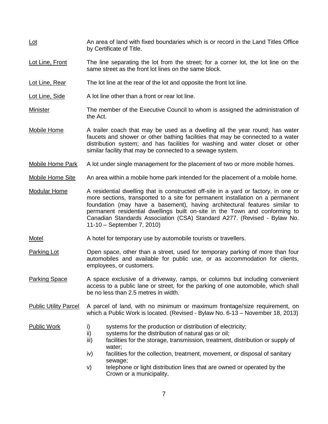- Lot Lot An area of land with fixed boundaries which is or record in the Land Titles Office by Certificate of Title.
- Lot Line, Front The line separating the lot from the street; for a corner lot, the lot line on the same street as the front lot lines on the same block.
- Lot Line, Rear The lot line at the rear of the lot and opposite the front lot line.
- Lot Line, Side A lot line other than a front or rear lot line.
- Minister The member of the Executive Council to whom is assigned the administration of the Act.
- Mobile Home A trailer coach that may be used as a dwelling all the year round; has water faucets and shower or other bathing facilities that may be connected to a water distribution system; and has facilities for washing and water closet or other similar facility that may be connected to a sewage system.
- Mobile Home Park A lot under single management for the placement of two or more mobile homes.
- Mobile Home Site An area within a mobile home park intended for the placement of a mobile home.
- Modular Home A residential dwelling that is constructed off-site in a yard or factory, in one or more sections, transported to a site for permanent installation on a permanent foundation (may have a basement), having architectural features similar to permanent residential dwellings built on-site in the Town and conforming to Canadian Standards Association (CSA) Standard A277. (Revised - Bylaw No. 11-10 – September 7, 2010)
- Motel Motel A hotel for temporary use by automobile tourists or travellers.
- Parking Lot **Open space, other than a street, used for temporary parking of more than four** automobiles and available for public use, or as accommodation for clients, employees, or customers.
- Parking Space A space exclusive of a driveway, ramps, or columns but including convenient access to a public lane or street, for the parking of one automobile, which shall be no less than 2.5 metres in width.
- Public Utility Parcel A parcel of land, with no minimum or maximum frontage/size requirement, on which a Public Work is located. (Revised - Bylaw No. 6-13 – November 18, 2013)

- Public Work i) systems for the production or distribution of electricity;
	- ii) systems for the distribution of natural gas or oil;
	- iii) facilities for the storage, transmission, treatment, distribution or supply of water;
	- iv) facilities for the collection, treatment, movement, or disposal of sanitary sewage;
	- v) telephone or light distribution lines that are owned or operated by the Crown or a municipality.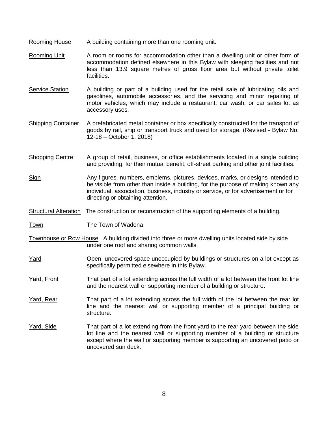- Rooming House A building containing more than one rooming unit.
- Rooming Unit A room or rooms for accommodation other than a dwelling unit or other form of accommodation defined elsewhere in this Bylaw with sleeping facilities and not less than 13.9 square metres of gross floor area but without private toilet facilities.
- Service Station A building or part of a building used for the retail sale of lubricating oils and gasolines, automobile accessories, and the servicing and minor repairing of motor vehicles, which may include a restaurant, car wash, or car sales lot as accessory uses.
- Shipping Container A prefabricated metal container or box specifically constructed for the transport of goods by rail, ship or transport truck and used for storage. (Revised - Bylaw No. 12-18 – October 1, 2018)
- Shopping Centre A group of retail, business, or office establishments located in a single building and providing, for their mutual benefit, off-street parking and other joint facilities.
- Sign Any figures, numbers, emblems, pictures, devices, marks, or designs intended to be visible from other than inside a building, for the purpose of making known any individual, association, business, industry or service, or for advertisement or for directing or obtaining attention.

Structural Alteration The construction or reconstruction of the supporting elements of a building.

Town The Town of Wadena.

- Townhouse or Row House A building divided into three or more dwelling units located side by side under one roof and sharing common walls.
- Yard Open, uncovered space unoccupied by buildings or structures on a lot except as specifically permitted elsewhere in this Bylaw.
- Yard, Front That part of a lot extending across the full width of a lot between the front lot line and the nearest wall or supporting member of a building or structure.
- Yard, Rear That part of a lot extending across the full width of the lot between the rear lot line and the nearest wall or supporting member of a principal building or structure.
- Yard, Side That part of a lot extending from the front yard to the rear yard between the side lot line and the nearest wall or supporting member of a building or structure except where the wall or supporting member is supporting an uncovered patio or uncovered sun deck.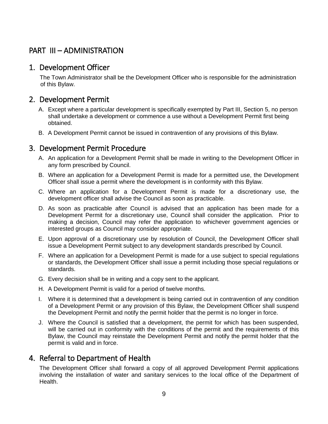# <span id="page-9-0"></span>PART III – ADMINISTRATION

### <span id="page-9-1"></span>1. Development Officer

The Town Administrator shall be the Development Officer who is responsible for the administration of this Bylaw.

### <span id="page-9-2"></span>2. Development Permit

- A. Except where a particular development is specifically exempted by Part III, Section 5, no person shall undertake a development or commence a use without a Development Permit first being obtained.
- B. A Development Permit cannot be issued in contravention of any provisions of this Bylaw.

### <span id="page-9-3"></span>3. Development Permit Procedure

- A. An application for a Development Permit shall be made in writing to the Development Officer in any form prescribed by Council.
- B. Where an application for a Development Permit is made for a permitted use, the Development Officer shall issue a permit where the development is in conformity with this Bylaw.
- C. Where an application for a Development Permit is made for a discretionary use, the development officer shall advise the Council as soon as practicable.
- D. As soon as practicable after Council is advised that an application has been made for a Development Permit for a discretionary use, Council shall consider the application. Prior to making a decision, Council may refer the application to whichever government agencies or interested groups as Council may consider appropriate.
- E. Upon approval of a discretionary use by resolution of Council, the Development Officer shall issue a Development Permit subject to any development standards prescribed by Council.
- F. Where an application for a Development Permit is made for a use subject to special regulations or standards, the Development Officer shall issue a permit including those special regulations or standards.
- G. Every decision shall be in writing and a copy sent to the applicant.
- H. A Development Permit is valid for a period of twelve months.
- I. Where it is determined that a development is being carried out in contravention of any condition of a Development Permit or any provision of this Bylaw, the Development Officer shall suspend the Development Permit and notify the permit holder that the permit is no longer in force.
- J. Where the Council is satisfied that a development, the permit for which has been suspended, will be carried out in conformity with the conditions of the permit and the requirements of this Bylaw, the Council may reinstate the Development Permit and notify the permit holder that the permit is valid and in force.

### <span id="page-9-4"></span>4. Referral to Department of Health

The Development Officer shall forward a copy of all approved Development Permit applications involving the installation of water and sanitary services to the local office of the Department of Health.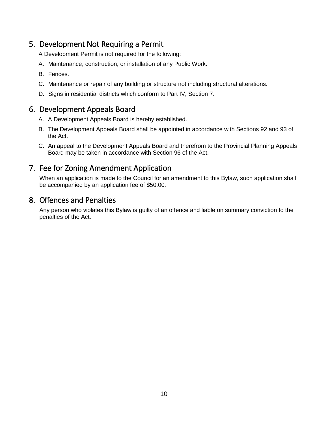### <span id="page-10-0"></span>5. Development Not Requiring a Permit

A Development Permit is not required for the following:

- A. Maintenance, construction, or installation of any Public Work.
- B. Fences.
- C. Maintenance or repair of any building or structure not including structural alterations.
- D. Signs in residential districts which conform to Part IV, Section 7.

### <span id="page-10-1"></span>6. Development Appeals Board

- A. A Development Appeals Board is hereby established.
- B. The Development Appeals Board shall be appointed in accordance with Sections 92 and 93 of the Act.
- C. An appeal to the Development Appeals Board and therefrom to the Provincial Planning Appeals Board may be taken in accordance with Section 96 of the Act.

### <span id="page-10-2"></span>7. Fee for Zoning Amendment Application

When an application is made to the Council for an amendment to this Bylaw, such application shall be accompanied by an application fee of \$50.00.

### <span id="page-10-3"></span>8. Offences and Penalties

Any person who violates this Bylaw is guilty of an offence and liable on summary conviction to the penalties of the Act.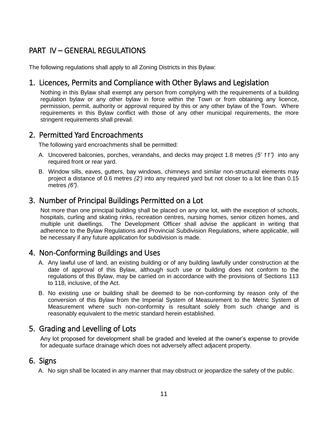# <span id="page-11-0"></span>PART IV – GENERAL REGULATIONS

<span id="page-11-1"></span>The following regulations shall apply to all Zoning Districts in this Bylaw:

### 1. Licences, Permits and Compliance with Other Bylaws and Legislation

Nothing in this Bylaw shall exempt any person from complying with the requirements of a building regulation bylaw or any other bylaw in force within the Town or from obtaining any licence, permission, permit, authority or approval required by this or any other bylaw of the Town. Where requirements in this Bylaw conflict with those of any other municipal requirements, the more stringent requirements shall prevail.

### <span id="page-11-2"></span>2. Permitted Yard Encroachments

The following yard encroachments shall be permitted:

- A. Uncovered balconies, porches, verandahs, and decks may project 1.8 metres *(5' 11")* into any required front or rear yard.
- B. Window sills, eaves, gutters, bay windows, chimneys and similar non-structural elements may project a distance of 0.6 metres *(2')* into any required yard but not closer to a lot line than 0.15 metres *(6")*.

### <span id="page-11-3"></span>3. Number of Principal Buildings Permitted on a Lot

Not more than one principal building shall be placed on any one lot, with the exception of schools, hospitals, curling and skating rinks, recreation centres, nursing homes, senior citizen homes, and multiple unit dwellings. The Development Officer shall advise the applicant in writing that adherence to the Bylaw Regulations and Provincial Subdivision Regulations, where applicable, will be necessary if any future application for subdivision is made.

### <span id="page-11-4"></span>4. Non-Conforming Buildings and Uses

- A. Any lawful use of land, an existing building or of any building lawfully under construction at the date of approval of this Bylaw, although such use or building does not conform to the regulations of this Bylaw, may be carried on in accordance with the provisions of Sections 113 to 118, inclusive, of the Act.
- B. No existing use or building shall be deemed to be non-conforming by reason only of the conversion of this Bylaw from the Imperial System of Measurement to the Metric System of Measurement where such non-conformity is resultant solely from such change and is reasonably equivalent to the metric standard herein established.

### <span id="page-11-5"></span>5. Grading and Levelling of Lots

Any lot proposed for development shall be graded and leveled at the owner's expense to provide for adequate surface drainage which does not adversely affect adjacent property.

### <span id="page-11-6"></span>6. Signs

A. No sign shall be located in any manner that may obstruct or jeopardize the safety of the public.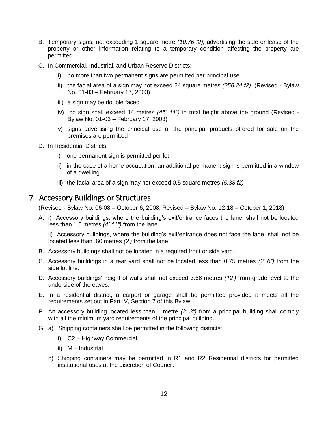- B. Temporary signs, not exceeding 1 square metre *(10.76 f2),* advertising the sale or lease of the property or other information relating to a temporary condition affecting the property are permitted.
- C. In Commercial, Industrial, and Urban Reserve Districts:
	- i) no more than two permanent signs are permitted per principal use
	- ii) the facial area of a sign may not exceed 24 square metres *(258.24 f2)* (Revised Bylaw No. 01-03 – February 17, 2003)
	- iii) a sign may be double faced
	- iv) no sign shall exceed 14 metres *(45' 11")* in total height above the ground (Revised Bylaw No. 01-03 – February 17, 2003)
	- v) signs advertising the principal use or the principal products offered for sale on the premises are permitted
- D. In Residential Districts
	- i) one permanent sign is permitted per lot
	- ii) in the case of a home occupation, an additional permanent sign is permitted in a window of a dwelling
	- iii) the facial area of a sign may not exceed 0.5 square metres *(5.38 f2)*

### <span id="page-12-0"></span>7. Accessory Buildings or Structures

(Revised - Bylaw No. 06-08 – October 6, 2008, Revised – Bylaw No. 12-18 – October 1, 2018)

A. i) Accessory buildings, where the building's exit/entrance faces the lane, shall not be located less than 1.5 metres *(4' 11")* from the lane.

ii) Accessory buildings, where the building's exit/entrance does not face the lane, shall not be located less than .60 metres *(2')* from the lane.

- B. Accessory buildings shall not be located in a required front or side yard.
- C. Accessory buildings in a rear yard shall not be located less than 0.75 metres *(2' 6")* from the side lot line.
- D. Accessory buildings' height of walls shall not exceed 3.66 metres *(12')* from grade level to the underside of the eaves.
- E. In a residential district, a carport or garage shall be permitted provided it meets all the requirements set out in Part IV, Section 7 of this Bylaw.
- F. An accessory building located less than 1 metre *(3' 3")* from a principal building shall comply with all the minimum yard requirements of the principal building.
- G. a) Shipping containers shall be permitted in the following districts:
	- i) C2 Highway Commercial
	- ii) M Industrial
	- b) Shipping containers may be permitted in R1 and R2 Residential districts for permitted institutional uses at the discretion of Council.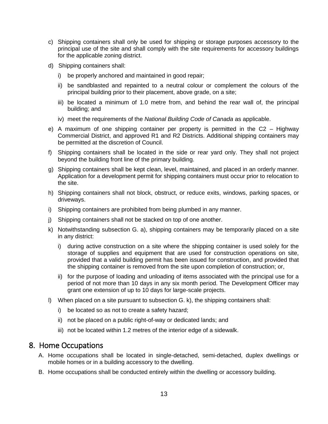- c) Shipping containers shall only be used for shipping or storage purposes accessory to the principal use of the site and shall comply with the site requirements for accessory buildings for the applicable zoning district.
- d) Shipping containers shall:
	- i) be properly anchored and maintained in good repair;
	- ii) be sandblasted and repainted to a neutral colour or complement the colours of the principal building prior to their placement, above grade, on a site;
	- iii) be located a minimum of 1.0 metre from, and behind the rear wall of, the principal building; and
	- iv) meet the requirements of the *National Building Code of Canada* as applicable.
- e) A maximum of one shipping container per property is permitted in the C2 Highway Commercial District, and approved R1 and R2 Districts. Additional shipping containers may be permitted at the discretion of Council.
- f) Shipping containers shall be located in the side or rear yard only. They shall not project beyond the building front line of the primary building.
- g) Shipping containers shall be kept clean, level, maintained, and placed in an orderly manner. Application for a development permit for shipping containers must occur prior to relocation to the site.
- h) Shipping containers shall not block, obstruct, or reduce exits, windows, parking spaces, or driveways.
- i) Shipping containers are prohibited from being plumbed in any manner.
- j) Shipping containers shall not be stacked on top of one another.
- k) Notwithstanding subsection G. a), shipping containers may be temporarily placed on a site in any district:
	- i) during active construction on a site where the shipping container is used solely for the storage of supplies and equipment that are used for construction operations on site, provided that a valid building permit has been issued for construction, and provided that the shipping container is removed from the site upon completion of construction; or,
	- ii) for the purpose of loading and unloading of items associated with the principal use for a period of not more than 10 days in any six month period. The Development Officer may grant one extension of up to 10 days for large-scale projects.
- l) When placed on a site pursuant to subsection G. k), the shipping containers shall:
	- i) be located so as not to create a safety hazard;
	- ii) not be placed on a public right-of-way or dedicated lands; and
	- iii) not be located within 1.2 metres of the interior edge of a sidewalk.

### <span id="page-13-0"></span>8. Home Occupations

- A. Home occupations shall be located in single-detached, semi-detached, duplex dwellings or mobile homes or in a building accessory to the dwelling.
- B. Home occupations shall be conducted entirely within the dwelling or accessory building.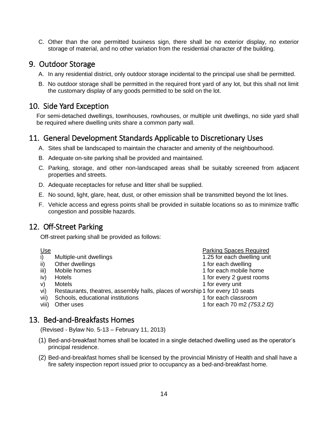C. Other than the one permitted business sign, there shall be no exterior display, no exterior storage of material, and no other variation from the residential character of the building.

### <span id="page-14-0"></span>9. Outdoor Storage

- A. In any residential district, only outdoor storage incidental to the principal use shall be permitted.
- B. No outdoor storage shall be permitted in the required front yard of any lot, but this shall not limit the customary display of any goods permitted to be sold on the lot.

### <span id="page-14-1"></span>10. Side Yard Exception

For semi-detached dwellings, townhouses, rowhouses, or multiple unit dwellings, no side yard shall be required where dwelling units share a common party wall.

### <span id="page-14-2"></span>11. General Development Standards Applicable to Discretionary Uses

- A. Sites shall be landscaped to maintain the character and amenity of the neighbourhood.
- B. Adequate on-site parking shall be provided and maintained.
- C. Parking, storage, and other non-landscaped areas shall be suitably screened from adjacent properties and streets.
- D. Adequate receptacles for refuse and litter shall be supplied.
- E. No sound, light, glare, heat, dust, or other emission shall be transmitted beyond the lot lines.
- F. Vehicle access and egress points shall be provided in suitable locations so as to minimize traffic congestion and possible hazards.

### <span id="page-14-3"></span>12. Off-Street Parking

Off-street parking shall be provided as follows:

Use **Parking Spaces Required Parking Spaces Required** i) Multiple-unit dwellings 1.25 for each dwelling unit ii) Other dwellings 1 for each dwelling 1 for each dwelling iii) Mobile homes **1** for each mobile home iv) Hotels 1 for every 2 guest rooms v) Motels **1** for every unit vi) Restaurants, theatres, assembly halls, places of worship1 for every 10 seats vii) Schools, educational institutions 1 for each classroom viii) Other uses 1 for each 70 m2 *(753.2 f2)*

### <span id="page-14-4"></span>13. Bed-and-Breakfasts Homes

(Revised - Bylaw No. 5-13 – February 11, 2013)

- (1) Bed-and-breakfast homes shall be located in a single detached dwelling used as the operator's principal residence.
- (2) Bed-and-breakfast homes shall be licensed by the provincial Ministry of Health and shall have a fire safety inspection report issued prior to occupancy as a bed-and-breakfast home.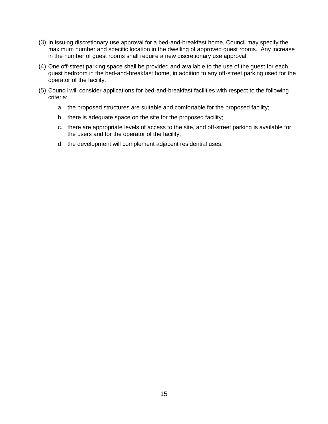- (3) In issuing discretionary use approval for a bed-and-breakfast home, Council may specify the maximum number and specific location in the dwelling of approved guest rooms. Any increase in the number of guest rooms shall require a new discretionary use approval.
- (4) One off-street parking space shall be provided and available to the use of the guest for each guest bedroom in the bed-and-breakfast home, in addition to any off-street parking used for the operator of the facility.
- <span id="page-15-0"></span>(5) Council will consider applications for bed-and-breakfast facilities with respect to the following criteria:
	- a. the proposed structures are suitable and comfortable for the proposed facility;
	- b. there is adequate space on the site for the proposed facility;
	- c. there are appropriate levels of access to the site, and off-street parking is available for the users and for the operator of the facility;
	- d. the development will complement adjacent residential uses.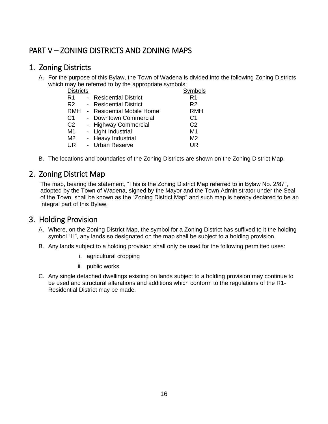# PART V – ZONING DISTRICTS AND ZONING MAPS

### <span id="page-16-0"></span>1. Zoning Districts

A. For the purpose of this Bylaw, the Town of Wadena is divided into the following Zoning Districts which may be referred to by the appropriate symbols:

| <b>Districts</b> |           |                                | Symbols        |
|------------------|-----------|--------------------------------|----------------|
| R1               | $\sim$    | <b>Residential District</b>    | R1             |
| R <sub>2</sub>   | $\sim 10$ | <b>Residential District</b>    | R <sub>2</sub> |
| <b>RMH</b>       | $\sim$    | <b>Residential Mobile Home</b> | <b>RMH</b>     |
| C <sub>1</sub>   |           | - Downtown Commercial          | C1             |
| C <sub>2</sub>   |           | - Highway Commercial           | C <sub>2</sub> |
| M <sub>1</sub>   |           | - Light Industrial             | M1             |
| M <sub>2</sub>   |           | - Heavy Industrial             | M <sub>2</sub> |
| <b>UR</b>        |           | - Urban Reserve                | <b>UR</b>      |
|                  |           |                                |                |

B. The locations and boundaries of the Zoning Districts are shown on the Zoning District Map.

### <span id="page-16-1"></span>2. Zoning District Map

The map, bearing the statement, "This is the Zoning District Map referred to in Bylaw No. 2/87", adopted by the Town of Wadena, signed by the Mayor and the Town Administrator under the Seal of the Town, shall be known as the "Zoning District Map" and such map is hereby declared to be an integral part of this Bylaw.

### <span id="page-16-2"></span>3. Holding Provision

- A. Where, on the Zoning District Map, the symbol for a Zoning District has suffixed to it the holding symbol "H", any lands so designated on the map shall be subject to a holding provision.
- B. Any lands subject to a holding provision shall only be used for the following permitted uses:
	- i. agricultural cropping
	- ii. public works
- C. Any single detached dwellings existing on lands subject to a holding provision may continue to be used and structural alterations and additions which conform to the regulations of the R1- Residential District may be made.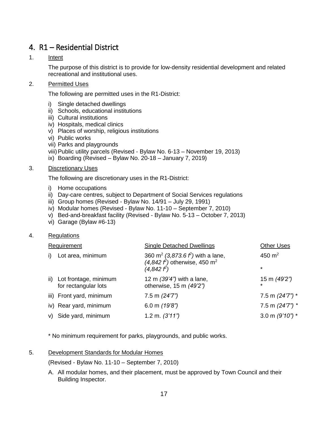### <span id="page-17-0"></span>4. R1 – Residential District

#### 1. Intent

The purpose of this district is to provide for low-density residential development and related recreational and institutional uses.

#### 2. Permitted Uses

The following are permitted uses in the R1-District:

- i) Single detached dwellings
- ii) Schools, educational institutions
- iii) Cultural institutions
- iv) Hospitals, medical clinics
- v) Places of worship, religious institutions
- vi) Public works
- vii) Parks and playgrounds
- viii)Public utility parcels (Revised Bylaw No. 6-13 November 19, 2013)
- ix) Boarding (Revised Bylaw No. 20-18 January 7, 2019)

#### 3. Discretionary Uses

The following are discretionary uses in the R1-District:

- i) Home occupations
- ii) Day-care centres, subject to Department of Social Services regulations
- iii) Group homes (Revised Bylaw No. 14/91 July 29, 1991)
- iv) Modular homes (Revised Bylaw No. 11-10 September 7, 2010)
- v) Bed-and-breakfast facility (Revised Bylaw No. 5-13 October 7, 2013)
- vi) Garage (Bylaw #6-13)

#### 4. Regulations

| Requirement |                                                   | <b>Single Detached Dwellings</b>                                                                                              | <b>Other Uses</b>       |
|-------------|---------------------------------------------------|-------------------------------------------------------------------------------------------------------------------------------|-------------------------|
| i)          | Lot area, minimum                                 | 360 m <sup>2</sup> (3,873.6 $f2$ ) with a lane,<br>$(4,842 \tfrac{\ell^2}{2})$ otherwise, 450 m <sup>2</sup><br>$(4,842 f^2)$ | 450 $m2$<br>$\star$     |
|             | ii) Lot frontage, minimum<br>for rectangular lots | 12 m $(39'4'')$ with a lane,<br>otherwise, 15 m (49'2")                                                                       | 15 m (49'2")<br>$\star$ |
|             | iii) Front yard, minimum                          | 7.5 m $(24'7'')$                                                                                                              | 7.5 m $(24'7'')$ *      |
|             | iv) Rear yard, minimum                            | 6.0 m $(19'8'')$                                                                                                              | 7.5 m $(24'7'')$ *      |
|             | v) Side yard, minimum                             | 1.2 m. $(3'11'')$                                                                                                             | 3.0 m $(9'10'')$ *      |
|             |                                                   |                                                                                                                               |                         |

\* No minimum requirement for parks, playgrounds, and public works.

#### 5. Development Standards for Modular Homes

(Revised - Bylaw No. 11-10 – September 7, 2010)

A. All modular homes, and their placement, must be approved by Town Council and their Building Inspector.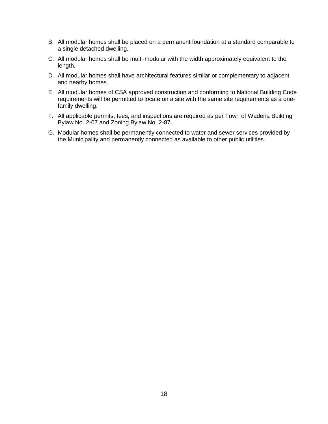- B. All modular homes shall be placed on a permanent foundation at a standard comparable to a single detached dwelling.
- C. All modular homes shall be multi-modular with the width approximately equivalent to the length.
- D. All modular homes shall have architectural features similar or complementary to adjacent and nearby homes.
- E. All modular homes of CSA approved construction and conforming to National Building Code requirements will be permitted to locate on a site with the same site requirements as a onefamily dwelling.
- F. All applicable permits, fees, and inspections are required as per Town of Wadena Building Bylaw No. 2-07 and Zoning Bylaw No. 2-87.
- <span id="page-18-0"></span>G. Modular homes shall be permanently connected to water and sewer services provided by the Municipality and permanently connected as available to other public utilities.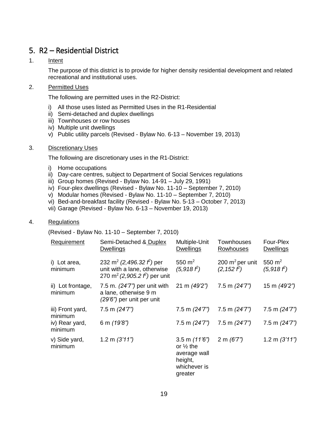### 5. R2 – Residential District

#### 1. Intent

The purpose of this district is to provide for higher density residential development and related recreational and institutional uses.

#### 2. Permitted Uses

The following are permitted uses in the R2-District:

- i) All those uses listed as Permitted Uses in the R1-Residential
- ii) Semi-detached and duplex dwellings
- iii) Townhouses or row houses
- iv) Multiple unit dwellings
- v) Public utility parcels (Revised Bylaw No. 6-13 November 19, 2013)

#### 3. Discretionary Uses

The following are discretionary uses in the R1-District:

- i) Home occupations
- ii) Day-care centres, subject to Department of Social Services regulations
- iii) Group homes (Revised Bylaw No. 14-91 July 29, 1991)
- iv) Four-plex dwellings (Revised Bylaw No. 11-10 September 7, 2010)
- v) Modular homes (Revised Bylaw No. 11-10 September 7, 2010)
- vi) Bed-and-breakfast facility (Revised Bylaw No. 5-13 October 7, 2013)
- vii) Garage (Revised Bylaw No. 6-13 November 19, 2013)

#### 4. Regulations

(Revised - Bylaw No. 11-10 – September 7, 2010)

| <b>Requirement</b>           | Semi-Detached & Duplex<br><b>Dwellings</b>                                                                               | Multiple-Unit<br><b>Dwellings</b>                                                                     | Townhouses<br>Rowhouses              | Four-Plex<br><b>Dwellings</b> |
|------------------------------|--------------------------------------------------------------------------------------------------------------------------|-------------------------------------------------------------------------------------------------------|--------------------------------------|-------------------------------|
| i) Lot area,<br>minimum      | 232 m <sup>2</sup> (2,496.32 $f^2$ ) per<br>unit with a lane, otherwise<br>270 m <sup>2</sup> (2,905.2 $\ell$ ) per unit | 550 $m2$<br>$(5,918 f^2)$                                                                             | 200 $m^2$ per unit<br>$(2, 152 f^2)$ | 550 $m2$<br>$(5,918 f^2)$     |
| ii) Lot frontage,<br>minimum | 7.5 m. $(24'7'')$ per unit with<br>a lane, otherwise 9 m<br>(29'6") per unit per unit                                    | 21 m (49'2")                                                                                          | $7.5$ m $(24'7'')$                   | 15 m (49'2")                  |
| iii) Front yard,<br>minimum  | 7.5 m $(24'7'')$                                                                                                         | $7.5$ m $(24'7'')$                                                                                    | 7.5 m $(24'7'')$                     | 7.5 m $(24'7'')$              |
| iv) Rear yard,<br>minimum    | 6 m (19'8")                                                                                                              | $7.5$ m $(24'7'')$                                                                                    | 7.5 m (24'7")                        | 7.5 m $(24'7'')$              |
| v) Side yard,<br>minimum     | 1.2 m $(3'11'')$                                                                                                         | $3.5 \text{ m}$ (11'6")<br>or $\frac{1}{2}$ the<br>average wall<br>height,<br>whichever is<br>greater | 2 m $(6'7'')$                        | 1.2 m $(3'11'')$              |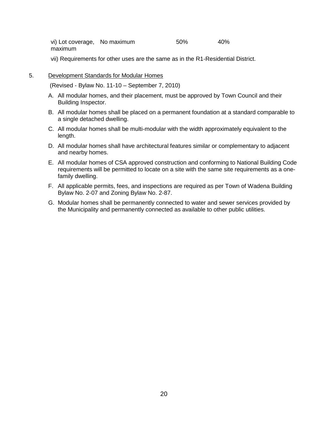vi) Lot coverage, No maximum 50% 40% maximum

vii) Requirements for other uses are the same as in the R1-Residential District.

#### 5. Development Standards for Modular Homes

(Revised - Bylaw No. 11-10 – September 7, 2010)

- A. All modular homes, and their placement, must be approved by Town Council and their Building Inspector.
- B. All modular homes shall be placed on a permanent foundation at a standard comparable to a single detached dwelling.
- C. All modular homes shall be multi-modular with the width approximately equivalent to the length.
- D. All modular homes shall have architectural features similar or complementary to adjacent and nearby homes.
- E. All modular homes of CSA approved construction and conforming to National Building Code requirements will be permitted to locate on a site with the same site requirements as a onefamily dwelling.
- F. All applicable permits, fees, and inspections are required as per Town of Wadena Building Bylaw No. 2-07 and Zoning Bylaw No. 2-87.
- <span id="page-20-0"></span>G. Modular homes shall be permanently connected to water and sewer services provided by the Municipality and permanently connected as available to other public utilities.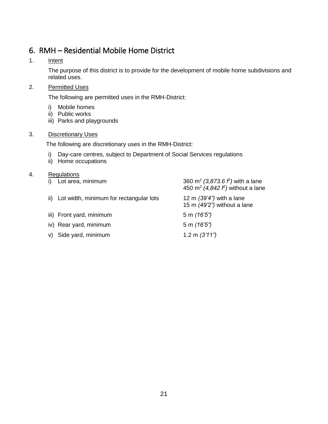# 6. RMH – Residential Mobile Home District

### 1. Intent

The purpose of this district is to provide for the development of mobile home subdivisions and related uses.

### 2. Permitted Uses

The following are permitted uses in the RMH-District:

- i) Mobile homes
- ii) Public works
- iii) Parks and playgrounds

### 3. Discretionary Uses

The following are discretionary uses in the RMH-District:

- i) Day-care centres, subject to Department of Social Services regulations
- ii) Home occupations

<span id="page-21-0"></span>

| i) | Lot area, minimum                           | 360 m <sup>2</sup> (3,873.6 $f2$ ) with a lane<br>450 m <sup>2</sup> (4,842 $f$ ) without a lane |
|----|---------------------------------------------|--------------------------------------------------------------------------------------------------|
|    | ii) Lot width, minimum for rectangular lots | 12 m $(39'4'')$ with a lane<br>15 m $(49'2'')$ without a lane                                    |
|    | iii) Front yard, minimum                    | 5 m $(16'5'')$                                                                                   |
|    | iv) Rear yard, minimum                      | 5 m $(16'5'')$                                                                                   |
|    | v) Side yard, minimum                       | 1.2 m $(3'11'')$                                                                                 |
|    |                                             |                                                                                                  |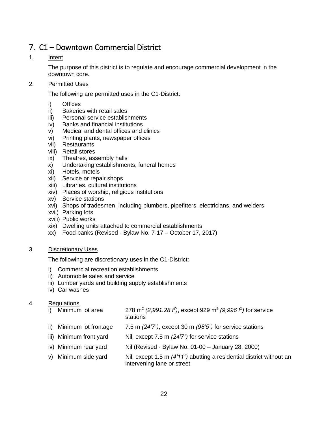# 7. C1 – Downtown Commercial District

#### 1. Intent

The purpose of this district is to regulate and encourage commercial development in the downtown core.

#### 2. Permitted Uses

The following are permitted uses in the C1-District:

- i) Offices
- ii) Bakeries with retail sales
- iii) Personal service establishments
- iv) Banks and financial institutions
- v) Medical and dental offices and clinics
- vi) Printing plants, newspaper offices
- vii) Restaurants
- viii) Retail stores
- ix) Theatres, assembly halls
- x) Undertaking establishments, funeral homes
- xi) Hotels, motels
- xii) Service or repair shops
- xiii) Libraries, cultural institutions
- xiv) Places of worship, religious institutions
- xv) Service stations
- xvi) Shops of tradesmen, including plumbers, pipefitters, electricians, and welders
- xvii) Parking lots
- xviii) Public works
- xix) Dwelling units attached to commercial establishments
- xx) Food banks (Revised Bylaw No. 7-17 October 17, 2017)

#### 3. Discretionary Uses

The following are discretionary uses in the C1-District:

- i) Commercial recreation establishments
- ii) Automobile sales and service
- iii) Lumber yards and building supply establishments
- iv) Car washes

- i) Minimum lot area  $(2,991.28 \text{ f}^2)$ , except 929 m<sup>2</sup> (9,996 f<sup>2</sup>) for service stations
- ii) Minimum lot frontage 7.5 m *(24'7")*, except 30 m *(98'5")* for service stations
- iii) Minimum front yard Nil, except 7.5 m *(24'7")* for service stations
- iv) Minimum rear yard Nil (Revised Bylaw No. 01-00 January 28, 2000)
- v) Minimum side yard Nil, except 1.5 m *(4'11")* abutting a residential district without an intervening lane or street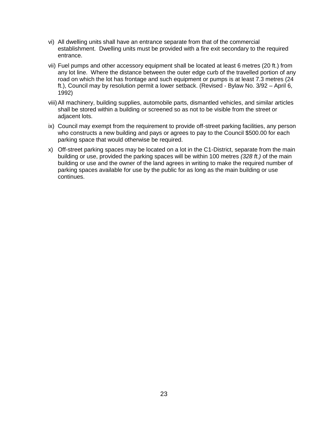- vi) All dwelling units shall have an entrance separate from that of the commercial establishment. Dwelling units must be provided with a fire exit secondary to the required entrance.
- vii) Fuel pumps and other accessory equipment shall be located at least 6 metres (20 ft.) from any lot line. Where the distance between the outer edge curb of the travelled portion of any road on which the lot has frontage and such equipment or pumps is at least 7.3 metres (24 ft.), Council may by resolution permit a lower setback. (Revised - Bylaw No. 3/92 – April 6, 1992)
- viii)All machinery, building supplies, automobile parts, dismantled vehicles, and similar articles shall be stored within a building or screened so as not to be visible from the street or adjacent lots.
- ix) Council may exempt from the requirement to provide off-street parking facilities, any person who constructs a new building and pays or agrees to pay to the Council \$500.00 for each parking space that would otherwise be required.
- <span id="page-23-0"></span>x) Off-street parking spaces may be located on a lot in the C1-District, separate from the main building or use, provided the parking spaces will be within 100 metres *(328 ft.)* of the main building or use and the owner of the land agrees in writing to make the required number of parking spaces available for use by the public for as long as the main building or use continues.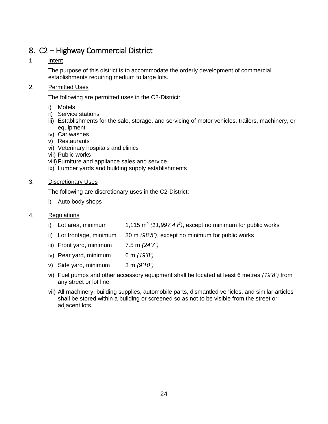# 8. C2 – Highway Commercial District

### 1. Intent

The purpose of this district is to accommodate the orderly development of commercial establishments requiring medium to large lots.

#### 2. Permitted Uses

The following are permitted uses in the C2-District:

- i) Motels
- ii) Service stations
- iii) Establishments for the sale, storage, and servicing of motor vehicles, trailers, machinery, or equipment
- iv) Car washes
- v) Restaurants
- vi) Veterinary hospitals and clinics
- vii) Public works
- viii)Furniture and appliance sales and service
- ix) Lumber yards and building supply establishments

#### 3. Discretionary Uses

The following are discretionary uses in the C2-District:

i) Auto body shops

- i) Lot area, minimum  $(11,997.4 f^2)$ , except no minimum for public works
- ii) Lot frontage, minimum 30 m *(98'5")*, except no minimum for public works
- iii) Front yard, minimum 7.5 m *(24'7")*
- iv) Rear yard, minimum 6 m *(19'8")*
- v) Side yard, minimum 3 m *(9'10")*
- vi) Fuel pumps and other accessory equipment shall be located at least 6 metres *(19'8")* from any street or lot line.
- <span id="page-24-0"></span>vii) All machinery, building supplies, automobile parts, dismantled vehicles, and similar articles shall be stored within a building or screened so as not to be visible from the street or adjacent lots.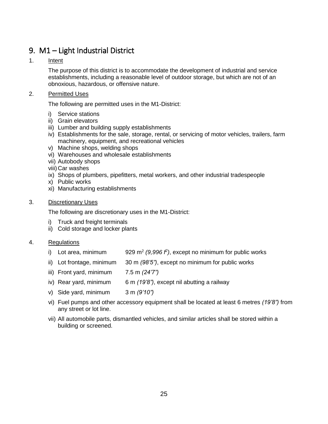# 9. M1 – Light Industrial District

#### 1. Intent

The purpose of this district is to accommodate the development of industrial and service establishments, including a reasonable level of outdoor storage, but which are not of an obnoxious, hazardous, or offensive nature.

#### 2. Permitted Uses

The following are permitted uses in the M1-District:

- i) Service stations
- ii) Grain elevators
- iii) Lumber and building supply establishments
- iv) Establishments for the sale, storage, rental, or servicing of motor vehicles, trailers, farm machinery, equipment, and recreational vehicles
- v) Machine shops, welding shops
- vi) Warehouses and wholesale establishments
- vii) Autobody shops
- viii) Car washes
- ix) Shops of plumbers, pipefitters, metal workers, and other industrial tradespeople
- x) Public works
- xi) Manufacturing establishments

#### 3. Discretionary Uses

The following are discretionary uses in the M1-District:

- i) Truck and freight terminals
- ii) Cold storage and locker plants

- i) Lot area, minimum  $(9,996 f^2)$ , except no minimum for public works
- ii) Lot frontage, minimum 30 m *(98'5")*, except no minimum for public works
- iii) Front yard, minimum 7.5 m *(24'7")*
- iv) Rear yard, minimum 6 m *(19'8")*, except nil abutting a railway
- v) Side yard, minimum 3 m *(9'10")*
- vi) Fuel pumps and other accessory equipment shall be located at least 6 metres *(19'8")* from any street or lot line.
- <span id="page-25-0"></span>vii) All automobile parts, dismantled vehicles, and similar articles shall be stored within a building or screened.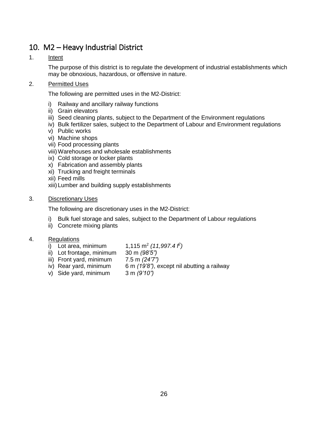### 10. M2 – Heavy Industrial District

#### 1. Intent

The purpose of this district is to regulate the development of industrial establishments which may be obnoxious, hazardous, or offensive in nature.

#### 2. Permitted Uses

The following are permitted uses in the M2-District:

- i) Railway and ancillary railway functions
- ii) Grain elevators
- iii) Seed cleaning plants, subject to the Department of the Environment regulations
- iv) Bulk fertilizer sales, subject to the Department of Labour and Environment regulations
- v) Public works
- vi) Machine shops
- vii) Food processing plants
- viii)Warehouses and wholesale establishments
- ix) Cold storage or locker plants
- x) Fabrication and assembly plants
- xi) Trucking and freight terminals
- xii) Feed mills
- xiii) Lumber and building supply establishments
- 3. Discretionary Uses

The following are discretionary uses in the M2-District:

- i) Bulk fuel storage and sales, subject to the Department of Labour regulations
- ii) Concrete mixing plants

- i) Lot area, minimum *(11,997.4 f 2 )*
- ii) Lot frontage, minimum 30 m *(98'5")*
- iii) Front yard, minimum
- iv) Rear yard, minimum 6 m *(19'8")*, except nil abutting a railway
- <span id="page-26-0"></span>v) Side yard, minimum 3 m *(9'10")*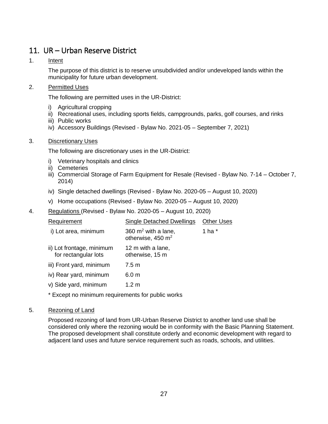# 11. UR – Urban Reserve District

### 1. Intent

The purpose of this district is to reserve unsubdivided and/or undeveloped lands within the municipality for future urban development.

#### 2. Permitted Uses

The following are permitted uses in the UR-District:

- i) Agricultural cropping
- ii) Recreational uses, including sports fields, campgrounds, parks, golf courses, and rinks
- iii) Public works
- iv) Accessory Buildings (Revised Bylaw No. 2021-05 September 7, 2021)

#### 3. Discretionary Uses

The following are discretionary uses in the UR-District:

- i) Veterinary hospitals and clinics
- ii) Cemeteries
- iii) Commercial Storage of Farm Equipment for Resale (Revised Bylaw No. 7-14 October 7, 2014)
- iv) Single detached dwellings (Revised Bylaw No. 2020-05 August 10, 2020)
- v) Home occupations (Revised Bylaw No. 2020-05 August 10, 2020)
- 4. Regulations (Revised Bylaw No. 2020-05 August 10, 2020)

| Requirement                                       | <b>Single Detached Dwellings</b>                       | <b>Other Uses</b> |  |  |
|---------------------------------------------------|--------------------------------------------------------|-------------------|--|--|
| i) Lot area, minimum                              | 360 $m2$ with a lane,<br>otherwise, 450 m <sup>2</sup> | 1 ha $*$          |  |  |
| ii) Lot frontage, minimum<br>for rectangular lots | 12 m with a lane,<br>otherwise, 15 m                   |                   |  |  |
| iii) Front yard, minimum                          | 7.5 m                                                  |                   |  |  |
| iv) Rear yard, minimum                            | 6.0 <sub>m</sub>                                       |                   |  |  |
| v) Side yard, minimum                             | 1.2 m                                                  |                   |  |  |
| * Except no minimum requirements for public works |                                                        |                   |  |  |

#### 5. Rezoning of Land

<span id="page-27-0"></span>Proposed rezoning of land from UR-Urban Reserve District to another land use shall be considered only where the rezoning would be in conformity with the Basic Planning Statement. The proposed development shall constitute orderly and economic development with regard to adjacent land uses and future service requirement such as roads, schools, and utilities.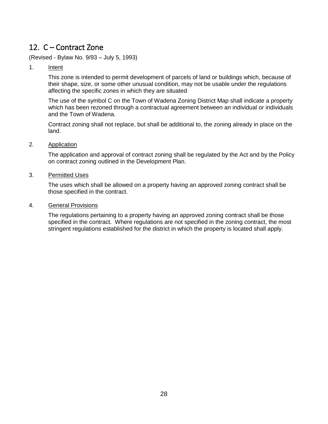# 12. C – Contract Zone

(Revised - Bylaw No. 9/93 – July 5, 1993)

1. Intent

This zone is intended to permit development of parcels of land or buildings which, because of their shape, size, or some other unusual condition, may not be usable under the regulations affecting the specific zones in which they are situated

The use of the symbol C on the Town of Wadena Zoning District Map shall indicate a property which has been rezoned through a contractual agreement between an individual or individuals and the Town of Wadena.

Contract zoning shall not replace, but shall be additional to, the zoning already in place on the land.

2. Application

The application and approval of contract zoning shall be regulated by the Act and by the Policy on contract zoning outlined in the Development Plan.

3. Permitted Uses

The uses which shall be allowed on a property having an approved zoning contract shall be those specified in the contract.

4. General Provisions

<span id="page-28-0"></span>The regulations pertaining to a property having an approved zoning contract shall be those specified in the contract. Where regulations are not specified in the zoning contract, the most stringent regulations established for the district in which the property is located shall apply.